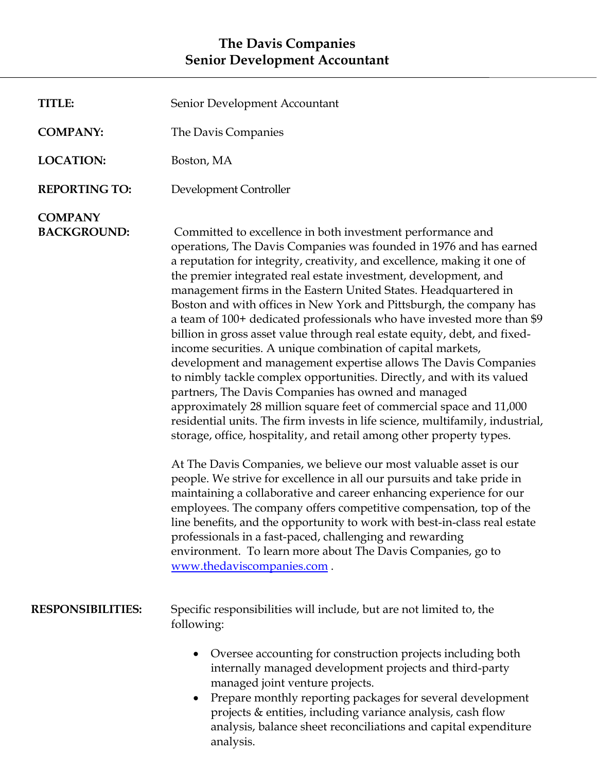## **The Davis Companies Senior Development Accountant**

| <b>TITLE:</b>                        | Senior Development Accountant                                                                                                                                                                                                                                                                                                                                                                                                                                                                                                                                                                                                                                                                                                                                                                                                                                                                                                                                                                                                                                                                                                                                                                                                                                                                                                                                                                                                                                                                                                                                                                                        |
|--------------------------------------|----------------------------------------------------------------------------------------------------------------------------------------------------------------------------------------------------------------------------------------------------------------------------------------------------------------------------------------------------------------------------------------------------------------------------------------------------------------------------------------------------------------------------------------------------------------------------------------------------------------------------------------------------------------------------------------------------------------------------------------------------------------------------------------------------------------------------------------------------------------------------------------------------------------------------------------------------------------------------------------------------------------------------------------------------------------------------------------------------------------------------------------------------------------------------------------------------------------------------------------------------------------------------------------------------------------------------------------------------------------------------------------------------------------------------------------------------------------------------------------------------------------------------------------------------------------------------------------------------------------------|
| <b>COMPANY:</b>                      | The Davis Companies                                                                                                                                                                                                                                                                                                                                                                                                                                                                                                                                                                                                                                                                                                                                                                                                                                                                                                                                                                                                                                                                                                                                                                                                                                                                                                                                                                                                                                                                                                                                                                                                  |
| <b>LOCATION:</b>                     | Boston, MA                                                                                                                                                                                                                                                                                                                                                                                                                                                                                                                                                                                                                                                                                                                                                                                                                                                                                                                                                                                                                                                                                                                                                                                                                                                                                                                                                                                                                                                                                                                                                                                                           |
| <b>REPORTING TO:</b>                 | Development Controller                                                                                                                                                                                                                                                                                                                                                                                                                                                                                                                                                                                                                                                                                                                                                                                                                                                                                                                                                                                                                                                                                                                                                                                                                                                                                                                                                                                                                                                                                                                                                                                               |
| <b>COMPANY</b><br><b>BACKGROUND:</b> | Committed to excellence in both investment performance and<br>operations, The Davis Companies was founded in 1976 and has earned<br>a reputation for integrity, creativity, and excellence, making it one of<br>the premier integrated real estate investment, development, and<br>management firms in the Eastern United States. Headquartered in<br>Boston and with offices in New York and Pittsburgh, the company has<br>a team of 100+ dedicated professionals who have invested more than \$9<br>billion in gross asset value through real estate equity, debt, and fixed-<br>income securities. A unique combination of capital markets,<br>development and management expertise allows The Davis Companies<br>to nimbly tackle complex opportunities. Directly, and with its valued<br>partners, The Davis Companies has owned and managed<br>approximately 28 million square feet of commercial space and 11,000<br>residential units. The firm invests in life science, multifamily, industrial,<br>storage, office, hospitality, and retail among other property types.<br>At The Davis Companies, we believe our most valuable asset is our<br>people. We strive for excellence in all our pursuits and take pride in<br>maintaining a collaborative and career enhancing experience for our<br>employees. The company offers competitive compensation, top of the<br>line benefits, and the opportunity to work with best-in-class real estate<br>professionals in a fast-paced, challenging and rewarding<br>environment. To learn more about The Davis Companies, go to<br>www.thedaviscompanies.com. |
| <b>RESPONSIBILITIES:</b>             | Specific responsibilities will include, but are not limited to, the<br>following:                                                                                                                                                                                                                                                                                                                                                                                                                                                                                                                                                                                                                                                                                                                                                                                                                                                                                                                                                                                                                                                                                                                                                                                                                                                                                                                                                                                                                                                                                                                                    |
|                                      | Oversee accounting for construction projects including both<br>$\bullet$<br>internally managed development projects and third-party<br>managed joint venture projects.<br>Prepare monthly reporting packages for several development<br>$\bullet$<br>projects & entities, including variance analysis, cash flow<br>analysis, balance sheet reconciliations and capital expenditure<br>analysis.                                                                                                                                                                                                                                                                                                                                                                                                                                                                                                                                                                                                                                                                                                                                                                                                                                                                                                                                                                                                                                                                                                                                                                                                                     |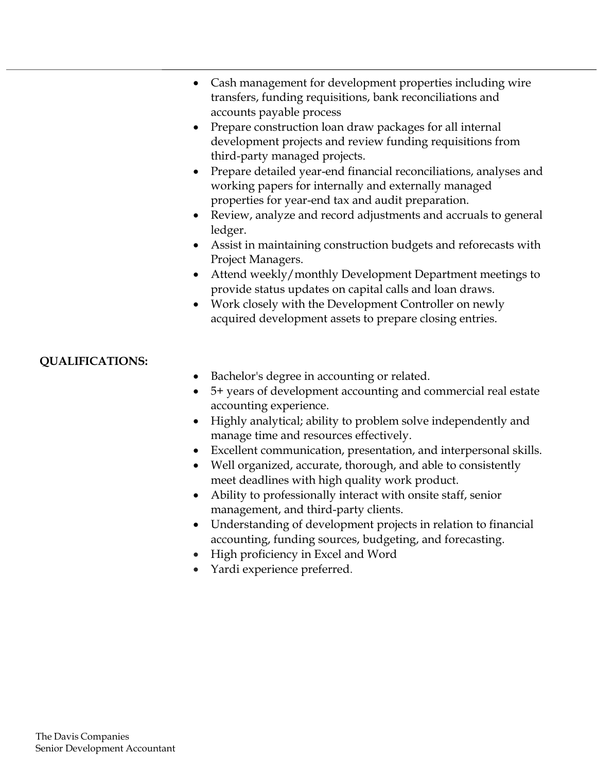- Cash management for development properties including wire transfers, funding requisitions, bank reconciliations and accounts payable process
- Prepare construction loan draw packages for all internal development projects and review funding requisitions from third-party managed projects.
- Prepare detailed year-end financial reconciliations, analyses and working papers for internally and externally managed properties for year-end tax and audit preparation.
- Review, analyze and record adjustments and accruals to general ledger.
- Assist in maintaining construction budgets and reforecasts with Project Managers.
- Attend weekly/monthly Development Department meetings to provide status updates on capital calls and loan draws.
- Work closely with the Development Controller on newly acquired development assets to prepare closing entries.

## **QUALIFICATIONS:**

- Bachelor's degree in accounting or related.
- 5+ years of development accounting and commercial real estate accounting experience.
- Highly analytical; ability to problem solve independently and manage time and resources effectively.
- Excellent communication, presentation, and interpersonal skills.
- Well organized, accurate, thorough, and able to consistently meet deadlines with high quality work product.
- Ability to professionally interact with onsite staff, senior management, and third-party clients.
- Understanding of development projects in relation to financial accounting, funding sources, budgeting, and forecasting.
- High proficiency in Excel and Word
- Yardi experience preferred.